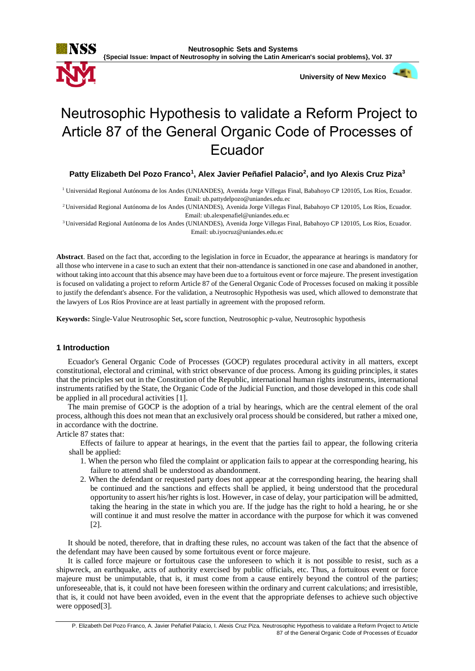

**Neutrosophic Sets and Systems {Special Issue: Impact of Neutrosophy in solving the Latin American's social problems}, Vol. 37**

 **University of New Mexico**

# Neutrosophic Hypothesis to validate a Reform Project to Article 87 of the General Organic Code of Processes of Ecuador

**Patty Elizabeth Del Pozo Franco<sup>1</sup> , Alex Javier Peñafiel Palacio<sup>2</sup> , and Iyo Alexis Cruz Piza<sup>3</sup>**

<sup>1</sup> Universidad Regional Autónoma de los Andes (UNIANDES), Avenida Jorge Villegas Final, Babahoyo CP 120105, Los Ríos, Ecuador. Email: ub.pattydelpozo@uniandes.edu.ec

<sup>2</sup>Universidad Regional Autónoma de los Andes (UNIANDES), Avenida Jorge Villegas Final, Babahoyo CP 120105, Los Ríos, Ecuador. Email: ub.alexpenafiel@uniandes.edu.ec

<sup>3</sup>Universidad Regional Autónoma de los Andes (UNIANDES), Avenida Jorge Villegas Final, Babahoyo CP 120105, Los Ríos, Ecuador. Email: ub.iyocruz@uniandes.edu.ec

**Abstract**. Based on the fact that, according to the legislation in force in Ecuador, the appearance at hearings is mandatory for all those who intervene in a case to such an extent that their non-attendance is sanctioned in one case and abandoned in another, without taking into account that this absence may have been due to a fortuitous event or force majeure. The present investigation is focused on validating a project to reform Article 87 of the General Organic Code of Processes focused on making it possible to justify the defendant's absence. For the validation, a Neutrosophic Hypothesis was used, which allowed to demonstrate that the lawyers of Los Ríos Province are at least partially in agreement with the proposed reform.

**Keywords:** Single-Value Neutrosophic Set**,** score function, Neutrosophic p-value, Neutrosophic hypothesis

## **1 Introduction**

Ecuador's General Organic Code of Processes (GOCP) regulates procedural activity in all matters, except constitutional, electoral and criminal, with strict observance of due process. Among its guiding principles, it states that the principles set out in the Constitution of the Republic, international human rights instruments, international instruments ratified by the State, the Organic Code of the Judicial Function, and those developed in this code shall be applied in all procedural activities [1].

The main premise of GOCP is the adoption of a trial by hearings, which are the central element of the oral process, although this does not mean that an exclusively oral process should be considered, but rather a mixed one, in accordance with the doctrine.

Article 87 states that:

Effects of failure to appear at hearings, in the event that the parties fail to appear, the following criteria shall be applied:

- 1. When the person who filed the complaint or application fails to appear at the corresponding hearing, his failure to attend shall be understood as abandonment.
- 2. When the defendant or requested party does not appear at the corresponding hearing, the hearing shall be continued and the sanctions and effects shall be applied, it being understood that the procedural opportunity to assert his/her rights is lost. However, in case of delay, your participation will be admitted, taking the hearing in the state in which you are. If the judge has the right to hold a hearing, he or she will continue it and must resolve the matter in accordance with the purpose for which it was convened [2].

It should be noted, therefore, that in drafting these rules, no account was taken of the fact that the absence of the defendant may have been caused by some fortuitous event or force majeure.

It is called force majeure or fortuitous case the unforeseen to which it is not possible to resist, such as a shipwreck, an earthquake, acts of authority exercised by public officials, etc. Thus, a fortuitous event or force majeure must be unimputable, that is, it must come from a cause entirely beyond the control of the parties; unforeseeable, that is, it could not have been foreseen within the ordinary and current calculations; and irresistible, that is, it could not have been avoided, even in the event that the appropriate defenses to achieve such objective were opposed[3].

P. Elizabeth Del Pozo Franco, A. Javier Peñafiel Palacio, I. Alexis Cruz Piza. Neutrosophic Hypothesis to validate a Reform Project to Article 87 of the General Organic Code of Processes of Ecuador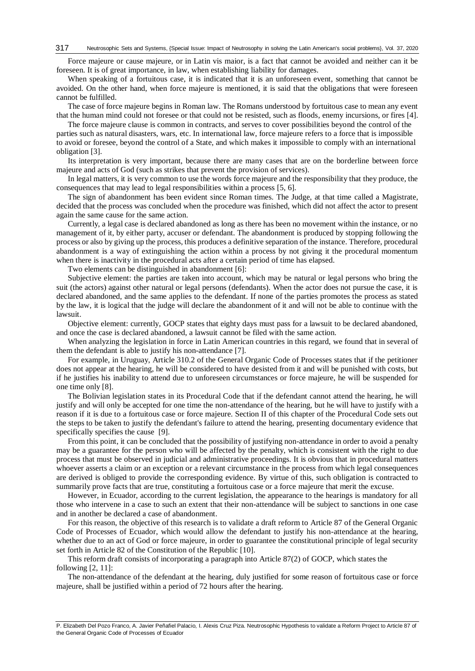Force majeure or cause majeure, or in Latin vis maior, is a fact that cannot be avoided and neither can it be foreseen. It is of great importance, in law, when establishing liability for damages.

When speaking of a fortuitous case, it is indicated that it is an unforeseen event, something that cannot be avoided. On the other hand, when force majeure is mentioned, it is said that the obligations that were foreseen cannot be fulfilled.

The case of force majeure begins in Roman law. The Romans understood by fortuitous case to mean any event that the human mind could not foresee or that could not be resisted, such as floods, enemy incursions, or fires [4].

The force majeure clause is common in contracts, and serves to cover possibilities beyond the control of the parties such as natural disasters, wars, etc. In international law, force majeure refers to a force that is impossible to avoid or foresee, beyond the control of a State, and which makes it impossible to comply with an international obligation [3].

Its interpretation is very important, because there are many cases that are on the borderline between force majeure and acts of God (such as strikes that prevent the provision of services).

In legal matters, it is very common to use the words force majeure and the responsibility that they produce, the consequences that may lead to legal responsibilities within a process [5, 6].

The sign of abandonment has been evident since Roman times. The Judge, at that time called a Magistrate, decided that the process was concluded when the procedure was finished, which did not affect the actor to present again the same cause for the same action.

Currently, a legal case is declared abandoned as long as there has been no movement within the instance, or no management of it, by either party, accuser or defendant. The abandonment is produced by stopping following the process or also by giving up the process, this produces a definitive separation of the instance. Therefore, procedural abandonment is a way of extinguishing the action within a process by not giving it the procedural momentum when there is inactivity in the procedural acts after a certain period of time has elapsed.

Two elements can be distinguished in abandonment [6]:

Subjective element: the parties are taken into account, which may be natural or legal persons who bring the suit (the actors) against other natural or legal persons (defendants). When the actor does not pursue the case, it is declared abandoned, and the same applies to the defendant. If none of the parties promotes the process as stated by the law, it is logical that the judge will declare the abandonment of it and will not be able to continue with the lawsuit.

Objective element: currently, GOCP states that eighty days must pass for a lawsuit to be declared abandoned, and once the case is declared abandoned, a lawsuit cannot be filed with the same action.

When analyzing the legislation in force in Latin American countries in this regard, we found that in several of them the defendant is able to justify his non-attendance [7].

For example, in Uruguay, Article 310.2 of the General Organic Code of Processes states that if the petitioner does not appear at the hearing, he will be considered to have desisted from it and will be punished with costs, but if he justifies his inability to attend due to unforeseen circumstances or force majeure, he will be suspended for one time only [8].

The Bolivian legislation states in its Procedural Code that if the defendant cannot attend the hearing, he will justify and will only be accepted for one time the non-attendance of the hearing, but he will have to justify with a reason if it is due to a fortuitous case or force majeure. Section II of this chapter of the Procedural Code sets out the steps to be taken to justify the defendant's failure to attend the hearing, presenting documentary evidence that specifically specifies the cause [9].

From this point, it can be concluded that the possibility of justifying non-attendance in order to avoid a penalty may be a guarantee for the person who will be affected by the penalty, which is consistent with the right to due process that must be observed in judicial and administrative proceedings. It is obvious that in procedural matters whoever asserts a claim or an exception or a relevant circumstance in the process from which legal consequences are derived is obliged to provide the corresponding evidence. By virtue of this, such obligation is contracted to summarily prove facts that are true, constituting a fortuitous case or a force majeure that merit the excuse.

However, in Ecuador, according to the current legislation, the appearance to the hearings is mandatory for all those who intervene in a case to such an extent that their non-attendance will be subject to sanctions in one case and in another be declared a case of abandonment.

For this reason, the objective of this research is to validate a draft reform to Article 87 of the General Organic Code of Processes of Ecuador, which would allow the defendant to justify his non-attendance at the hearing, whether due to an act of God or force majeure, in order to guarantee the constitutional principle of legal security set forth in Article 82 of the Constitution of the Republic [10].

This reform draft consists of incorporating a paragraph into Article 87(2) of GOCP, which states the following  $[2, 11]$ :

The non-attendance of the defendant at the hearing, duly justified for some reason of fortuitous case or force majeure, shall be justified within a period of 72 hours after the hearing.

P. Elizabeth Del Pozo Franco, A. Javier Peñafiel Palacio, I. Alexis Cruz Piza. Neutrosophic Hypothesis to validate a Reform Project to Article 87 of the General Organic Code of Processes of Ecuador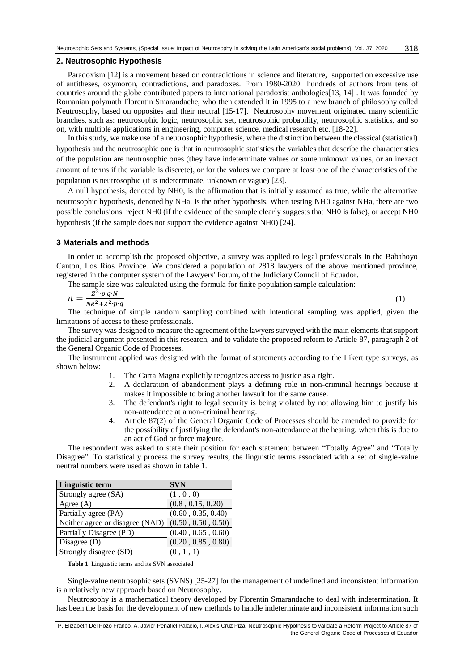#### **2. Neutrosophic Hypothesis**

Paradoxism [12] is a movement based on contradictions in science and literature, supported on excessive use of antitheses, oxymoron, contradictions, and paradoxes. From 1980-2020 hundreds of authors from tens of countries around the globe contributed papers to international paradoxist anthologies[13, 14] . It was founded by Romanian polymath Florentin Smarandache, who then extended it in 1995 to a new branch of philosophy called Neutrosophy, based on opposites and their neutral [15-17]. Neutrosophy movement originated many scientific branches, such as: neutrosophic logic, neutrosophic set, neutrosophic probability, neutrosophic statistics, and so on, with multiple applications in engineering, computer science, medical research etc. [18-22].

In this study, we make use of a neutrosophic hypothesis, where the distinction between the classical (statistical) hypothesis and the neutrosophic one is that in neutrosophic statistics the variables that describe the characteristics of the population are neutrosophic ones (they have indeterminate values or some unknown values, or an inexact amount of terms if the variable is discrete), or for the values we compare at least one of the characteristics of the population is neutrosophic (it is indeterminate, unknown or vague) [23].

A null hypothesis, denoted by NH0, is the affirmation that is initially assumed as true, while the alternative neutrosophic hypothesis, denoted by NHa, is the other hypothesis. When testing NH0 against NHa, there are two possible conclusions: reject NH0 (if the evidence of the sample clearly suggests that NH0 is false), or accept NH0 hypothesis (if the sample does not support the evidence against NH0) [24].

#### **3 Materials and methods**

In order to accomplish the proposed objective, a survey was applied to legal professionals in the Babahoyo Canton, Los Ríos Province. We considered a population of 2818 lawyers of the above mentioned province, registered in the computer system of the Lawyers' Forum, of the Judiciary Council of Ecuador.

The sample size was calculated using the formula for finite population sample calculation:

$$
n = \frac{Z^2 \cdot p \cdot q \cdot N}{Ne^2 + Z^2 \cdot p \cdot q} \tag{1}
$$

The technique of simple random sampling combined with intentional sampling was applied, given the limitations of access to these professionals.

The survey was designed to measure the agreement of the lawyers surveyed with the main elements that support the judicial argument presented in this research, and to validate the proposed reform to Article 87, paragraph 2 of the General Organic Code of Processes.

The instrument applied was designed with the format of statements according to the Likert type surveys, as shown below:

- 1. The Carta Magna explicitly recognizes access to justice as a right.
- 2. A declaration of abandonment plays a defining role in non-criminal hearings because it makes it impossible to bring another lawsuit for the same cause.
- 3. The defendant's right to legal security is being violated by not allowing him to justify his non-attendance at a non-criminal hearing.
- 4. Article 87(2) of the General Organic Code of Processes should be amended to provide for the possibility of justifying the defendant's non-attendance at the hearing, when this is due to an act of God or force majeure.

The respondent was asked to state their position for each statement between "Totally Agree" and "Totally Disagree". To statistically process the survey results, the linguistic terms associated with a set of single-value neutral numbers were used as shown in table 1.

| <b>Linguistic term</b>                               | <b>SVN</b>         |
|------------------------------------------------------|--------------------|
| Strongly agree (SA)                                  | (1, 0, 0)          |
| Agree $(A)$                                          | (0.8, 0.15, 0.20)  |
| Partially agree (PA)                                 | (0.60, 0.35, 0.40) |
| Neither agree or disagree (NAD) $(0.50, 0.50, 0.50)$ |                    |
| Partially Disagree (PD)                              | (0.40, 0.65, 0.60) |
| Disagree $(D)$                                       | (0.20, 0.85, 0.80) |
| Strongly disagree (SD)                               | (0, 1, 1)          |

**Table 1**. Linguistic terms and its SVN associated

Single-value neutrosophic sets (SVNS) [25-27] for the management of undefined and inconsistent information is a relatively new approach based on Neutrosophy.

Neutrosophy is a mathematical theory developed by Florentin Smarandache to deal with indetermination. It has been the basis for the development of new methods to handle indeterminate and inconsistent information such

P. Elizabeth Del Pozo Franco, A. Javier Peñafiel Palacio, I. Alexis Cruz Piza. Neutrosophic Hypothesis to validate a Reform Project to Article 87 of the General Organic Code of Processes of Ecuador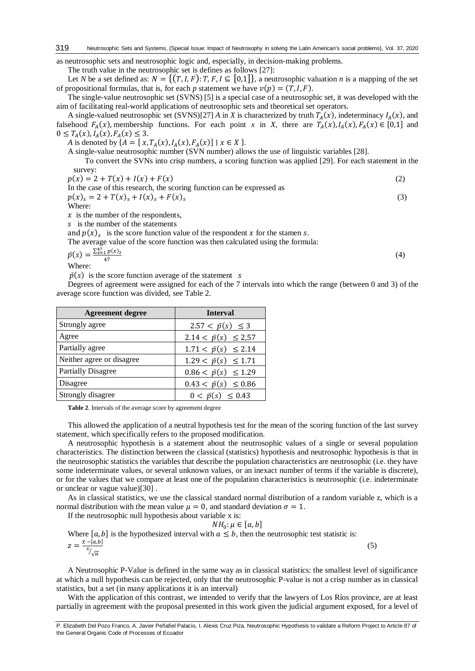as neutrosophic sets and neutrosophic logic and, especially, in decision-making problems.

The truth value in the neutrosophic set is defines as follows [27]:

Let *N* be a set defined as:  $N = \{(T, I, F): T, F, I \subseteq [0,1]\}$ , a neutrosophic valuation *n* is a mapping of the set of propositional formulas, that is, for each *p* statement we have  $v(p) = (T, I, F)$ .

The single-value neutrosophic set (SVNS) [5] is a special case of a neutrosophic set, it was developed with the aim of facilitating real-world applications of neutrosophic sets and theoretical set operators.

A single-valued neutrosophic set (SVNS)[27] *A* in *X* is characterized by truth  $T_A(x)$ , indeterminacy  $I_A(x)$ , and falsehood  $F_A(x)$ , membership functions. For each point *x* in *X*, there are  $T_A(x)$ ,  $I_A(x)$ ,  $F_A(x) \in [0,1]$  and  $0 \le T_A(x), I_A(x), F_A(x) \le 3.$ 

*A* is denoted by  $\{A = [x, T_A(x), I_A(x), F_A(x)] \mid x \in X\}$ .

A single-value neutrosophic number (SVN number) allows the use of linguistic variables [28]. To convert the SVNs into crisp numbers, a scoring function was applied [29]. For each statement in the

survey:  $p(x) = 2 + T(x) + I(x) + F(x)$  (2) In the case of this research, the scoring function can be expressed as  $p(x)_{s} = 2 + T(x)_{s} + I(x)_{s} + F(x)_{s}$ (3)

Where:

 $\hat{x}$  is the number of the respondents,

 $s$  is the number of the statements

and  $p(x)$ <sub>s</sub> is the score function value of the respondent x for the stamen s.

The average value of the score function was then calculated using the formula:

 $\bar{p}(s) = \frac{\sum_{x=1}^{47} p(x)_s}{47}$ 47 (4) Where:

 $\bar{p}(s)$  is the score function average of the statement s

Degrees of agreement were assigned for each of the 7 intervals into which the range (between 0 and 3) of the average score function was divided, see Table 2.

| <b>Agreement degree</b>   | <b>Interval</b>               |  |
|---------------------------|-------------------------------|--|
| Strongly agree            | $2.57 < \bar{p}(s) \leq 3$    |  |
| Agree                     | $2.14 < \bar{p}(s) \leq 2.57$ |  |
| Partially agree           | $1.71 < \bar{p}(s) \le 2.14$  |  |
| Neither agree or disagree | $1.29 < \bar{p}(s) \leq 1.71$ |  |
| <b>Partially Disagree</b> | $0.86 < \bar{p}(s) \leq 1.29$ |  |
| Disagree                  | $0.43 < \bar{p}(s) \le 0.86$  |  |
| Strongly disagree         | $0 < \bar{p}(s) \le 0.43$     |  |

**Table 2**. Intervals of the average score by agreement degree

This allowed the application of a neutral hypothesis test for the mean of the scoring function of the last survey statement, which specifically refers to the proposed modification.

A neutrosophic hypothesis is a statement about the neutrosophic values of a single or several population characteristics. The distinction between the classical (statistics) hypothesis and neutrosophic hypothesis is that in the neutrosophic statistics the variables that describe the population characteristics are neutrosophic (i.e. they have some indeterminate values, or several unknown values, or an inexact number of terms if the variable is discrete), or for the values that we compare at least one of the population characteristics is neutrosophic (i.e. indeterminate or unclear or vague value)[30] .

As in classical statistics, we use the classical standard normal distribution of a random variable z, which is a normal distribution with the mean value  $\mu = 0$ , and standard deviation  $\sigma = 1$ .

If the neutrosophic null hypothesis about variable x is:

 $NH_0: \mu \in [a, b]$ Where [a, b] is the hypothesized interval with  $a \leq b$ , then the neutrosophic test statistic is:  $z = \frac{\bar{x} - [a,b]}{s}$  $\sqrt[s]{n}$ 

A Neutrosophic P-Value is defined in the same way as in classical statistics: the smallest level of significance at which a null hypothesis can be rejected, only that the neutrosophic P-value is not a crisp number as in classical statistics, but a set (in many applications it is an interval)

(5)

With the application of this contrast, we intended to verify that the lawyers of Los Ríos province, are at least partially in agreement with the proposal presented in this work given the judicial argument exposed, for a level of

P. Elizabeth Del Pozo Franco, A. Javier Peñafiel Palacio, I. Alexis Cruz Piza. Neutrosophic Hypothesis to validate a Reform Project to Article 87 of the General Organic Code of Processes of Ecuador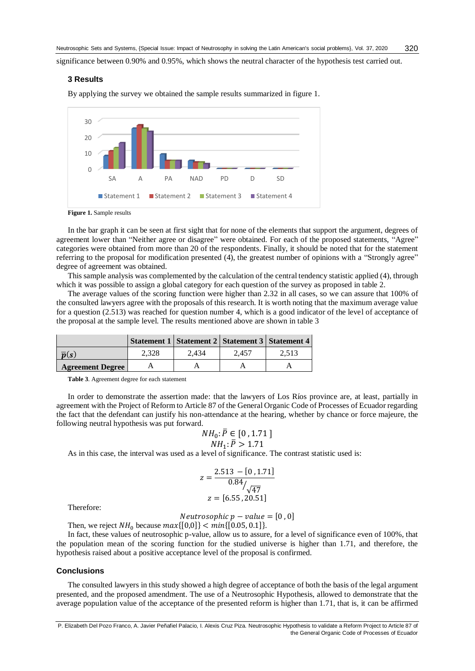significance between 0.90% and 0.95%, which shows the neutral character of the hypothesis test carried out.

#### **3 Results**

By applying the survey we obtained the sample results summarized in figure 1.



**Figure 1.** Sample results

In the bar graph it can be seen at first sight that for none of the elements that support the argument, degrees of agreement lower than "Neither agree or disagree" were obtained. For each of the proposed statements, "Agree" categories were obtained from more than 20 of the respondents. Finally, it should be noted that for the statement referring to the proposal for modification presented (4), the greatest number of opinions with a "Strongly agree" degree of agreement was obtained.

This sample analysis was complemented by the calculation of the central tendency statistic applied (4), through which it was possible to assign a global category for each question of the survey as proposed in table 2.

The average values of the scoring function were higher than 2.32 in all cases, so we can assure that 100% of the consulted lawyers agree with the proposals of this research. It is worth noting that the maximum average value for a question (2.513) was reached for question number 4, which is a good indicator of the level of acceptance of the proposal at the sample level. The results mentioned above are shown in table 3

|                         |       | Statement 1   Statement 2   Statement 3   Statement 4 |       |       |
|-------------------------|-------|-------------------------------------------------------|-------|-------|
| $\overline{p}(s)$       | 2.328 | 2.434                                                 | 2.457 | 2.513 |
| <b>Agreement Degree</b> |       |                                                       |       |       |

**Table 3**. Agreement degree for each statement

In order to demonstrate the assertion made: that the lawyers of Los Ríos province are, at least, partially in agreement with the Project of Reform to Article 87 of the General Organic Code of Processes of Ecuador regarding the fact that the defendant can justify his non-attendance at the hearing, whether by chance or force majeure, the following neutral hypothesis was put forward.

$$
NH_0: \bar{P} \in [0, 1.71] NH_1: \bar{P} > 1.71
$$

As in this case, the interval was used as a level of significance. The contrast statistic used is:

$$
z = \frac{2.513 - [0, 1.71]}{0.84 \sqrt{47}}
$$

$$
z = [6.55, 20.51]
$$

Therefore:

$$
Neutrosophic p-value = [0, 0]
$$

Then, we reject  $NH_0$  because  $max\{[0,0]\} < min\{[0.05, 0.1]\}.$ 

In fact, these values of neutrosophic p-value, allow us to assure, for a level of significance even of 100%, that the population mean of the scoring function for the studied universe is higher than 1.71, and therefore, the hypothesis raised about a positive acceptance level of the proposal is confirmed.

#### **Conclusions**

The consulted lawyers in this study showed a high degree of acceptance of both the basis of the legal argument presented, and the proposed amendment. The use of a Neutrosophic Hypothesis, allowed to demonstrate that the average population value of the acceptance of the presented reform is higher than 1.71, that is, it can be affirmed

P. Elizabeth Del Pozo Franco, A. Javier Peñafiel Palacio, I. Alexis Cruz Piza. Neutrosophic Hypothesis to validate a Reform Project to Article 87 of the General Organic Code of Processes of Ecuador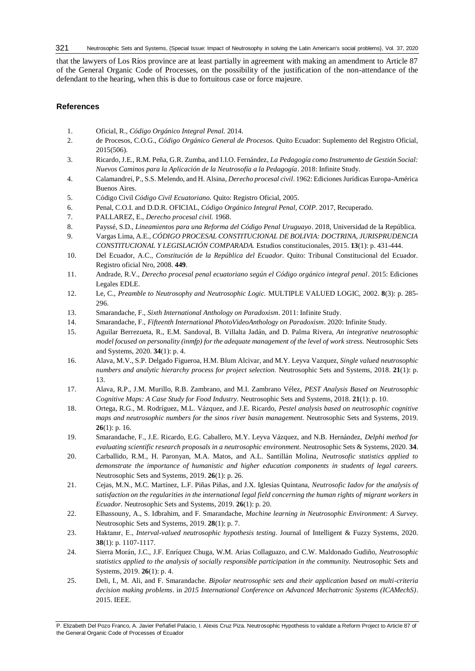Neutrosophic Sets and Systems, {Special Issue: Impact of Neutrosophy in solving the Latin American's social problems}, Vol. 37, 2020 321

that the lawyers of Los Ríos province are at least partially in agreement with making an amendment to Article 87 of the General Organic Code of Processes, on the possibility of the justification of the non-attendance of the defendant to the hearing, when this is due to fortuitous case or force majeure.

### **References**

- 1. Oficial, R., *Código Orgánico Integral Penal.* 2014.
- 2. de Procesos, C.O.G., *Código Orgánico General de Procesos.* Quito Ecuador: Suplemento del Registro Oficial, 2015(506).
- 3. Ricardo, J.E., R.M. Peña, G.R. Zumba, and I.I.O. Fernández, *La Pedagogía como Instrumento de Gestión Social: Nuevos Caminos para la Aplicación de la Neutrosofía a la Pedagogía*. 2018: Infinite Study.
- 4. Calamandrei, P., S.S. Melendo, and H. Alsina, *Derecho procesal civil*. 1962: Ediciones Jurídicas Europa-América Buenos Aires.
- 5. Código Civil *Código Civil Ecuatoriano.* Quito: Registro Oficial, 2005.
- 6. Penal, C.O.I. and D.D.R. OFICIAL, *Código Orgánico Integral Penal, COIP*. 2017, Recuperado.
- 7. PALLAREZ, E., *Derecho procesal civil.* 1968.
- 8. Payssé, S.D., *Lineamientos para una Reforma del Código Penal Uruguayo*. 2018, Universidad de la República.
- 9. Vargas Lima, A.E., *CÓDIGO PROCESAL CONSTITUCIONAL DE BOLIVIA: DOCTRINA, JURISPRUDENCIA CONSTITUCIONAL Y LEGISLACIÓN COMPARADA.* Estudios constitucionales, 2015. **13**(1): p. 431-444.
- 10. Del Ecuador, A.C., *Constitución de la República del Ecuador.* Quito: Tribunal Constitucional del Ecuador. Registro oficial Nro, 2008. **449**.
- 11. Andrade, R.V., *Derecho procesal penal ecuatoriano según el Código orgánico integral penal*. 2015: Ediciones Legales EDLE.
- 12. Le, C., *Preamble to Neutrosophy and Neutrosophic Logic.* MULTIPLE VALUED LOGIC, 2002. **8**(3): p. 285- 296.
- 13. Smarandache, F., *Sixth International Anthology on Paradoxism*. 2011: Infinite Study.
- 14. Smarandache, F., *Fifteenth International PhotoVideoAnthology on Paradoxism*. 2020: Infinite Study.
- 15. Aguilar Berrezueta, R., E.M. Sandoval, B. Villalta Jadán, and D. Palma Rivera, *An integrative neutrosophic model focused on personality (inmfp) for the adequate management of the level of work stress.* Neutrosophic Sets and Systems, 2020. **34**(1): p. 4.
- 16. Alava, M.V., S.P. Delgado Figueroa, H.M. Blum Alcivar, and M.Y. Leyva Vazquez, *Single valued neutrosophic numbers and analytic hierarchy process for project selection.* Neutrosophic Sets and Systems, 2018. **21**(1): p. 13.
- 17. Alava, R.P., J.M. Murillo, R.B. Zambrano, and M.I. Zambrano Vélez, *PEST Analysis Based on Neutrosophic Cognitive Maps: A Case Study for Food Industry.* Neutrosophic Sets and Systems, 2018. **21**(1): p. 10.
- 18. Ortega, R.G., M. Rodríguez, M.L. Vázquez, and J.E. Ricardo, *Pestel analysis based on neutrosophic cognitive maps and neutrosophic numbers for the sinos river basin management.* Neutrosophic Sets and Systems, 2019. **26**(1): p. 16.
- 19. Smarandache, F., J.E. Ricardo, E.G. Caballero, M.Y. Leyva Vázquez, and N.B. Hernández, *Delphi method for evaluating scientific research proposals in a neutrosophic environment.* Neutrosophic Sets & Systems, 2020. **34**.
- 20. Carballido, R.M., H. Paronyan, M.A. Matos, and A.L. Santillán Molina, *Neutrosofic statistics applied to demonstrate the importance of humanistic and higher education components in students of legal careers.* Neutrosophic Sets and Systems, 2019. **26**(1): p. 26.
- 21. Cejas, M.N., M.C. Martínez, L.F. Piñas Piñas, and J.X. Iglesias Quintana, *Neutrosofic Iadov for the analysis of satisfaction on the regularities in the international legal field concerning the human rights of migrant workers in Ecuador.* Neutrosophic Sets and Systems, 2019. **26**(1): p. 20.
- 22. Elhassouny, A., S. Idbrahim, and F. Smarandache, *Machine learning in Neutrosophic Environment: A Survey.* Neutrosophic Sets and Systems, 2019. **28**(1): p. 7.
- 23. Haktanır, E., *Interval-valued neutrosophic hypothesis testing.* Journal of Intelligent & Fuzzy Systems, 2020. **38**(1): p. 1107-1117.
- 24. Sierra Morán, J.C., J.F. Enríquez Chuga, W.M. Arias Collaguazo, and C.W. Maldonado Gudiño, *Neutrosophic statistics applied to the analysis of socially responsible participation in the community.* Neutrosophic Sets and Systems, 2019. **26**(1): p. 4.
- 25. Deli, I., M. Ali, and F. Smarandache. *Bipolar neutrosophic sets and their application based on multi-criteria decision making problems*. in *2015 International Conference on Advanced Mechatronic Systems (ICAMechS)*. 2015. IEEE.